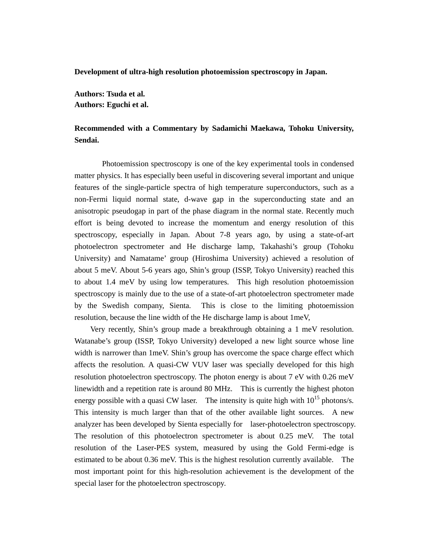**Development of ultra-high resolution photoemission spectroscopy in Japan.**

**Authors: Tsuda et al. Authors: Eguchi et al.**

## **Recommended with a Commentary by Sadamichi Maekawa, Tohoku University, Sendai.**

Photoemission spectroscopy is one of the key experimental tools in condensed matter physics. It has especially been useful in discovering several important and unique features of the single-particle spectra of high temperature superconductors, such as a non-Fermi liquid normal state, d-wave gap in the superconducting state and an anisotropic pseudogap in part of the phase diagram in the normal state. Recently much effort is being devoted to increase the momentum and energy resolution of this spectroscopy, especially in Japan. About 7-8 years ago, by using a state-of-art photoelectron spectrometer and He discharge lamp, Takahashi's group (Tohoku University) and Namatame' group (Hiroshima University) achieved a resolution of about 5 meV. About 5-6 years ago, Shin's group (ISSP, Tokyo University) reached this to about 1.4 meV by using low temperatures. This high resolution photoemission spectroscopy is mainly due to the use of a state-of-art photoelectron spectrometer made by the Swedish company, Sienta. This is close to the limiting photoemission resolution, because the line width of the He discharge lamp is about 1meV,

Very recently, Shin's group made a breakthrough obtaining a 1 meV resolution. Watanabe's group (ISSP, Tokyo University) developed a new light source whose line width is narrower than 1meV. Shin's group has overcome the space charge effect which affects the resolution. A quasi-CW VUV laser was specially developed for this high resolution photoelectron spectroscopy. The photon energy is about 7 eV with 0.26 meV linewidth and a repetition rate is around 80 MHz. This is currently the highest photon energy possible with a quasi CW laser. The intensity is quite high with  $10^{15}$  photons/s. This intensity is much larger than that of the other available light sources. A new analyzer has been developed by Sienta especially for laser-photoelectron spectroscopy. The resolution of this photoelectron spectrometer is about 0.25 meV. The total resolution of the Laser-PES system, measured by using the Gold Fermi-edge is estimated to be about 0.36 meV. This is the highest resolution currently available. The most important point for this high-resolution achievement is the development of the special laser for the photoelectron spectroscopy.